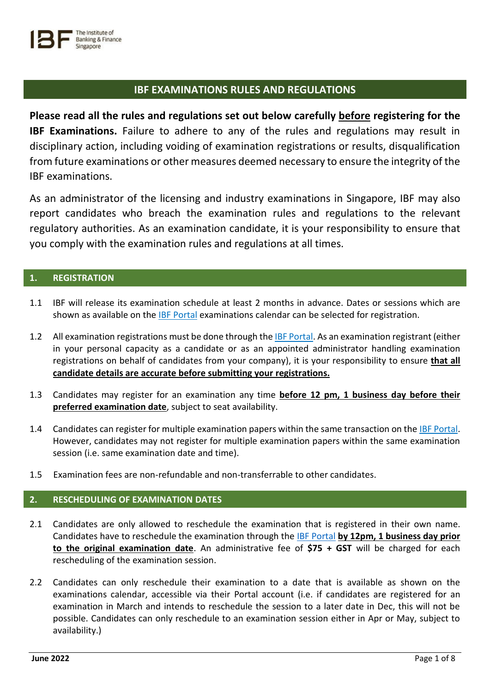

# **IBF EXAMINATIONS RULES AND REGULATIONS**

**Please read all the rules and regulations set out below carefully before registering for the IBF Examinations.** Failure to adhere to any of the rules and regulations may result in disciplinary action, including voiding of examination registrations or results, disqualification from future examinations or other measures deemed necessary to ensure the integrity of the IBF examinations.

As an administrator of the licensing and industry examinations in Singapore, IBF may also report candidates who breach the examination rules and regulations to the relevant regulatory authorities. As an examination candidate, it is your responsibility to ensure that you comply with the examination rules and regulations at all times.

# **1. REGISTRATION**

- 1.1 IBF will release its examination schedule at least 2 months in advance. Dates or sessions which are shown as available on the [IBF Portal](https://eservices.ibf.org.sg/Account/Login?ReturnUrl=%2F) examinations calendar can be selected for registration.
- 1.2 All examination registrations must be done through the **IBF Portal**. As an examination registrant (either in your personal capacity as a candidate or as an appointed administrator handling examination registrations on behalf of candidates from your company), it is your responsibility to ensure **that all candidate details are accurate before submitting your registrations.**
- 1.3 Candidates may register for an examination any time **before 12 pm, 1 business day before their preferred examination date**, subject to seat availability.
- 1.4 Candidates can register for multiple examination papers within the same transaction on th[e IBF Portal.](https://eservices.ibf.org.sg/Account/Login?ReturnUrl=%2F) However, candidates may not register for multiple examination papers within the same examination session (i.e. same examination date and time).
- 1.5 Examination fees are non-refundable and non-transferrable to other candidates.

# **2. RESCHEDULING OF EXAMINATION DATES**

- 2.1 Candidates are only allowed to reschedule the examination that is registered in their own name. Candidates have to reschedule the examination through the [IBF Portal](https://eservices.ibf.org.sg/Account/Login?ReturnUrl=%2F) **by 12pm, 1 business day prior to the original examination date**. An administrative fee of **\$75 + GST** will be charged for each rescheduling of the examination session.
- 2.2 Candidates can only reschedule their examination to a date that is available as shown on the examinations calendar, accessible via their Portal account (i.e. if candidates are registered for an examination in March and intends to reschedule the session to a later date in Dec, this will not be possible. Candidates can only reschedule to an examination session either in Apr or May, subject to availability.)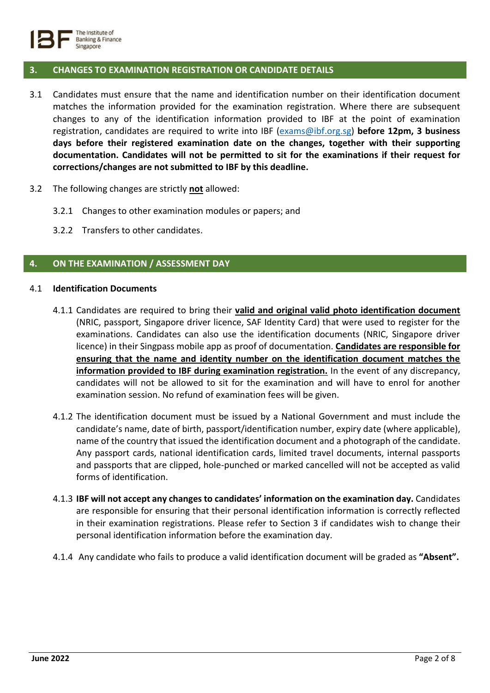

# **3. CHANGES TO EXAMINATION REGISTRATION OR CANDIDATE DETAILS**

- 3.1 Candidates must ensure that the name and identification number on their identification document matches the information provided for the examination registration. Where there are subsequent changes to any of the identification information provided to IBF at the point of examination registration, candidates are required to write into IBF [\(exams@ibf.org.sg\)](mailto:exams@ibf.org.sg) **before 12pm, 3 business days before their registered examination date on the changes, together with their supporting documentation. Candidates will not be permitted to sit for the examinations if their request for corrections/changes are not submitted to IBF by this deadline.**
- 3.2 The following changes are strictly **not** allowed:
	- 3.2.1 Changes to other examination modules or papers; and
	- 3.2.2 Transfers to other candidates.

# **4. ON THE EXAMINATION / ASSESSMENT DAY**

#### 4.1 **Identification Documents**

- 4.1.1 Candidates are required to bring their **valid and original valid photo identification document** (NRIC, passport, Singapore driver licence, SAF Identity Card) that were used to register for the examinations. Candidates can also use the identification documents (NRIC, Singapore driver licence) in their Singpass mobile app as proof of documentation. **Candidates are responsible for ensuring that the name and identity number on the identification document matches the information provided to IBF during examination registration.** In the event of any discrepancy, candidates will not be allowed to sit for the examination and will have to enrol for another examination session. No refund of examination fees will be given.
- 4.1.2 The identification document must be issued by a National Government and must include the candidate's name, date of birth, passport/identification number, expiry date (where applicable), name of the country that issued the identification document and a photograph of the candidate. Any passport cards, national identification cards, limited travel documents, internal passports and passports that are clipped, hole-punched or marked cancelled will not be accepted as valid forms of identification.
- 4.1.3 **IBF will not accept any changes to candidates' information on the examination day.** Candidates are responsible for ensuring that their personal identification information is correctly reflected in their examination registrations. Please refer to Section 3 if candidates wish to change their personal identification information before the examination day.
- 4.1.4 Any candidate who fails to produce a valid identification document will be graded as **"Absent".**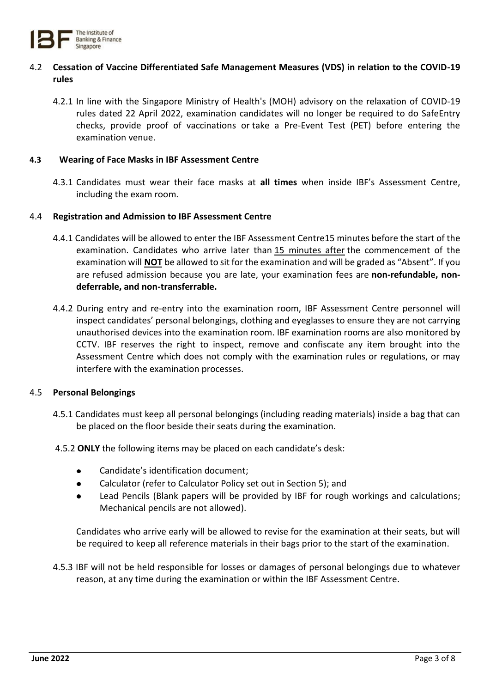

# 4.2 **Cessation of Vaccine Differentiated Safe Management Measures (VDS) in relation to the COVID-19 rules**

4.2.1 In line with the Singapore Ministry of Health's (MOH) advisory on the relaxation of COVID-19 rules dated 22 April 2022, examination candidates will no longer be required to do SafeEntry checks, provide proof of vaccinations or take a Pre-Event Test (PET) before entering the examination venue.

#### **4.3 Wearing of Face Masks in IBF Assessment Centre**

4.3.1 Candidates must wear their face masks at **all times** when inside IBF's Assessment Centre, including the exam room.

#### 4.4 **Registration and Admission to IBF Assessment Centre**

- 4.4.1 Candidates will be allowed to enter the IBF Assessment Centre15 minutes before the start of the examination. Candidates who arrive later than 15 minutes after the commencement of the examination will **NOT** be allowed to sit for the examination and will be graded as "Absent". If you are refused admission because you are late, your examination fees are **non-refundable, nondeferrable, and non-transferrable.**
- 4.4.2 During entry and re-entry into the examination room, IBF Assessment Centre personnel will inspect candidates' personal belongings, clothing and eyeglasses to ensure they are not carrying unauthorised devices into the examination room. IBF examination rooms are also monitored by CCTV. IBF reserves the right to inspect, remove and confiscate any item brought into the Assessment Centre which does not comply with the examination rules or regulations, or may interfere with the examination processes.

#### 4.5 **Personal Belongings**

- 4.5.1 Candidates must keep all personal belongings (including reading materials) inside a bag that can be placed on the floor beside their seats during the examination.
- 4.5.2 **ONLY** the following items may be placed on each candidate's desk:
	- Candidate's identification document;
	- Calculator (refer to Calculator Policy set out in Section 5); and
	- Lead Pencils (Blank papers will be provided by IBF for rough workings and calculations;  $\bullet$ Mechanical pencils are not allowed).

Candidates who arrive early will be allowed to revise for the examination at their seats, but will be required to keep all reference materials in their bags prior to the start of the examination.

4.5.3 IBF will not be held responsible for losses or damages of personal belongings due to whatever reason, at any time during the examination or within the IBF Assessment Centre.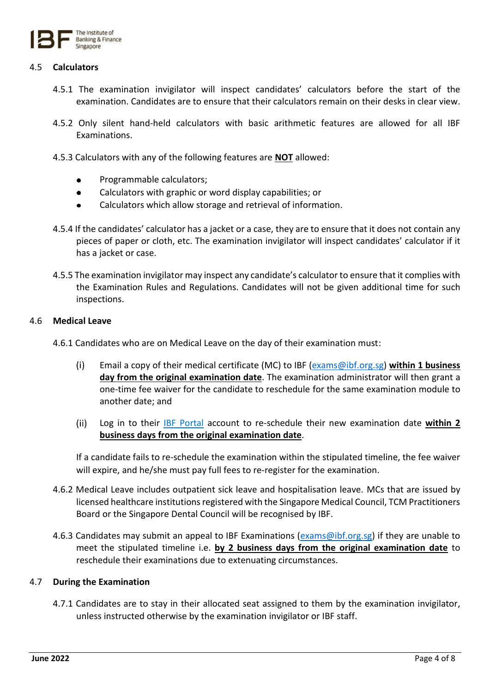

# 4.5 **Calculators**

- 4.5.1 The examination invigilator will inspect candidates' calculators before the start of the examination. Candidates are to ensure that their calculators remain on their desks in clear view.
- 4.5.2 Only silent hand-held calculators with basic arithmetic features are allowed for all IBF Examinations.
- 4.5.3 Calculators with any of the following features are **NOT** allowed:
	- Programmable calculators;
	- $\bullet$ Calculators with graphic or word display capabilities; or
	- Calculators which allow storage and retrieval of information.  $\bullet$
- 4.5.4 If the candidates' calculator has a jacket or a case, they are to ensure that it does not contain any pieces of paper or cloth, etc. The examination invigilator will inspect candidates' calculator if it has a jacket or case.
- 4.5.5 The examination invigilator may inspect any candidate's calculator to ensure that it complies with the Examination Rules and Regulations. Candidates will not be given additional time for such inspections.

#### 4.6 **Medical Leave**

- 4.6.1 Candidates who are on Medical Leave on the day of their examination must:
	- $(i)$ Email a copy of their medical certificate (MC) to IBF [\(exams@ibf.org.sg\)](mailto:exams@ibf.org.sg) **within 1 business day from the original examination date**. The examination administrator will then grant a one-time fee waiver for the candidate to reschedule for the same examination module to another date; and
	- $(ii)$ Log in to their [IBF Portal](https://eservices.ibf.org.sg/Account/Login?ReturnUrl=%2F) account to re-schedule their new examination date **within 2 business days from the original examination date**.

If a candidate fails to re-schedule the examination within the stipulated timeline, the fee waiver will expire, and he/she must pay full fees to re-register for the examination.

- 4.6.2 Medical Leave includes outpatient sick leave and hospitalisation leave. MCs that are issued by licensed healthcare institutions registered with the Singapore Medical Council, TCM Practitioners Board or the Singapore Dental Council will be recognised by IBF.
- 4.6.3 Candidates may submit an appeal to IBF Examinations [\(exams@ibf.org.sg\)](mailto:exams@ibf.org.sg) if they are unable to meet the stipulated timeline i.e. **by 2 business days from the original examination date** to reschedule their examinations due to extenuating circumstances.

#### 4.7 **During the Examination**

4.7.1 Candidates are to stay in their allocated seat assigned to them by the examination invigilator, unless instructed otherwise by the examination invigilator or IBF staff.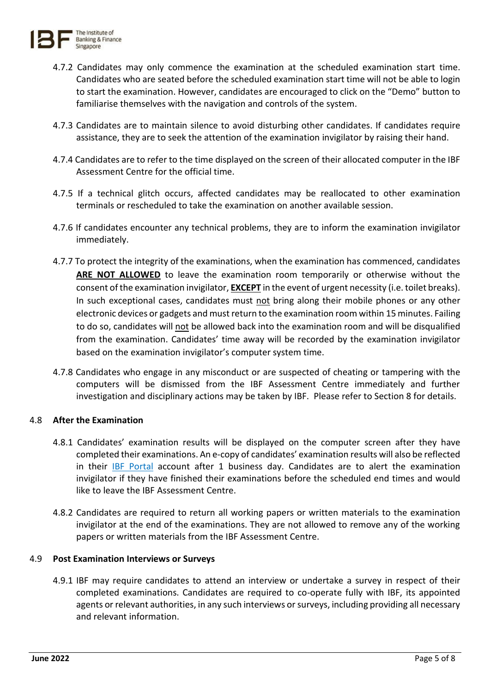

- 4.7.2 Candidates may only commence the examination at the scheduled examination start time. Candidates who are seated before the scheduled examination start time will not be able to login to start the examination. However, candidates are encouraged to click on the "Demo" button to familiarise themselves with the navigation and controls of the system.
- 4.7.3 Candidates are to maintain silence to avoid disturbing other candidates. If candidates require assistance, they are to seek the attention of the examination invigilator by raising their hand.
- 4.7.4 Candidates are to refer to the time displayed on the screen of their allocated computer in the IBF Assessment Centre for the official time.
- 4.7.5 If a technical glitch occurs, affected candidates may be reallocated to other examination terminals or rescheduled to take the examination on another available session.
- 4.7.6 If candidates encounter any technical problems, they are to inform the examination invigilator immediately.
- 4.7.7 To protect the integrity of the examinations, when the examination has commenced, candidates **ARE NOT ALLOWED** to leave the examination room temporarily or otherwise without the consent of the examination invigilator, **EXCEPT** in the event of urgent necessity (i.e. toilet breaks). In such exceptional cases, candidates must not bring along their mobile phones or any other electronic devices or gadgets and must return to the examination room within 15 minutes. Failing to do so, candidates will not be allowed back into the examination room and will be disqualified from the examination. Candidates' time away will be recorded by the examination invigilator based on the examination invigilator's computer system time.
- 4.7.8 Candidates who engage in any misconduct or are suspected of cheating or tampering with the computers will be dismissed from the IBF Assessment Centre immediately and further investigation and disciplinary actions may be taken by IBF. Please refer to Section 8 for details.

# 4.8 **After the Examination**

- 4.8.1 Candidates' examination results will be displayed on the computer screen after they have completed their examinations. An e-copy of candidates' examination results will also be reflected in their **[IBF Portal](https://eservices.ibf.org.sg/Account/Login?ReturnUrl=%2F)** account after 1 business day. Candidates are to alert the examination invigilator if they have finished their examinations before the scheduled end times and would like to leave the IBF Assessment Centre.
- 4.8.2 Candidates are required to return all working papers or written materials to the examination invigilator at the end of the examinations. They are not allowed to remove any of the working papers or written materials from the IBF Assessment Centre.

# 4.9 **Post Examination Interviews or Surveys**

4.9.1 IBF may require candidates to attend an interview or undertake a survey in respect of their completed examinations. Candidates are required to co-operate fully with IBF, its appointed agents or relevant authorities, in any such interviews or surveys, including providing all necessary and relevant information.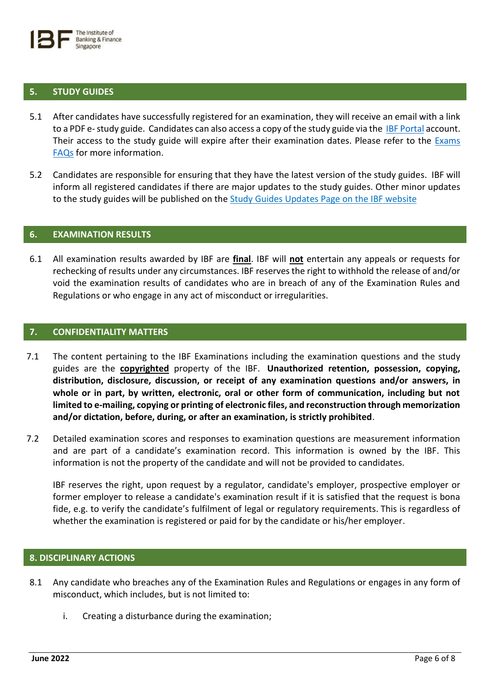#### **5. STUDY GUIDES**

- 5.1 After candidates have successfully registered for an examination, they will receive an email with a link to a PDF e-study guide. Candidates can also access a copy of the study guide via the [IBF Portal](https://eservices.ibf.org.sg/Account/Login?ReturnUrl=%2F) account. Their access to the study guide will expire after their examination dates. Please refer to the [Exams](https://www.ibf.org.sg/programmes/examination/Documents/IBF_Exams_FAQs_May_2022.pdf)  [FAQs](https://www.ibf.org.sg/programmes/examination/Documents/IBF_Exams_FAQs_May_2022.pdf) for more information.
- 5.2 Candidates are responsible for ensuring that they have the latest version of the study guides. IBF will inform all registered candidates if there are major updates to the study guides. Other minor updates to the study guides will be published on the [Study Guides Updates Page](https://www.ibf.org.sg/programmes/examination/Pages/Study-Guide-Updates.aspx) on the IBF website

#### **6. EXAMINATION RESULTS**

6.1 All examination results awarded by IBF are **final**. IBF will **not** entertain any appeals or requests for rechecking of results under any circumstances. IBF reserves the right to withhold the release of and/or void the examination results of candidates who are in breach of any of the Examination Rules and Regulations or who engage in any act of misconduct or irregularities.

#### **7. CONFIDENTIALITY MATTERS**

- 7.1 The content pertaining to the IBF Examinations including the examination questions and the study guides are the **copyrighted** property of the IBF. **Unauthorized retention, possession, copying, distribution, disclosure, discussion, or receipt of any examination questions and/or answers, in whole or in part, by written, electronic, oral or other form of communication, including but not limited to e-mailing, copying or printing of electronic files, and reconstruction through memorization and/or dictation, before, during, or after an examination, is strictly prohibited**.
- 7.2 Detailed examination scores and responses to examination questions are measurement information and are part of a candidate's examination record. This information is owned by the IBF. This information is not the property of the candidate and will not be provided to candidates.

IBF reserves the right, upon request by a regulator, candidate's employer, prospective employer or former employer to release a candidate's examination result if it is satisfied that the request is bona fide, e.g. to verify the candidate's fulfilment of legal or regulatory requirements. This is regardless of whether the examination is registered or paid for by the candidate or his/her employer.

## **8. DISCIPLINARY ACTIONS**

- 8.1 Any candidate who breaches any of the Examination Rules and Regulations or engages in any form of misconduct, which includes, but is not limited to:
	- i. Creating a disturbance during the examination;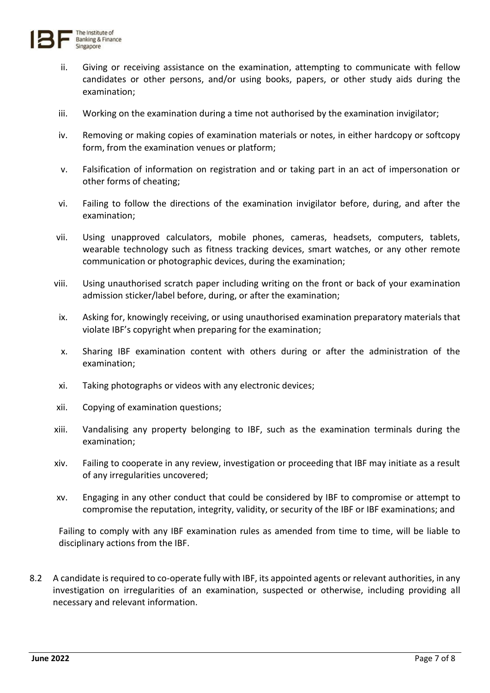

- ii. Giving or receiving assistance on the examination, attempting to communicate with fellow candidates or other persons, and/or using books, papers, or other study aids during the examination;
- iii. Working on the examination during a time not authorised by the examination invigilator;
- iv. Removing or making copies of examination materials or notes, in either hardcopy or softcopy form, from the examination venues or platform;
- v. Falsification of information on registration and or taking part in an act of impersonation or other forms of cheating;
- vi. Failing to follow the directions of the examination invigilator before, during, and after the examination;
- vii. Using unapproved calculators, mobile phones, cameras, headsets, computers, tablets, wearable technology such as fitness tracking devices, smart watches, or any other remote communication or photographic devices, during the examination;
- viii. Using unauthorised scratch paper including writing on the front or back of your examination admission sticker/label before, during, or after the examination;
- ix. Asking for, knowingly receiving, or using unauthorised examination preparatory materials that violate IBF's copyright when preparing for the examination;
- x. Sharing IBF examination content with others during or after the administration of the examination;
- xi. Taking photographs or videos with any electronic devices;
- xii. Copying of examination questions;
- xiii. Vandalising any property belonging to IBF, such as the examination terminals during the examination;
- xiv. Failing to cooperate in any review, investigation or proceeding that IBF may initiate as a result of any irregularities uncovered;
- xv. Engaging in any other conduct that could be considered by IBF to compromise or attempt to compromise the reputation, integrity, validity, or security of the IBF or IBF examinations; and

Failing to comply with any IBF examination rules as amended from time to time, will be liable to disciplinary actions from the IBF.

8.2 A candidate is required to co-operate fully with IBF, its appointed agents or relevant authorities, in any investigation on irregularities of an examination, suspected or otherwise, including providing all necessary and relevant information.